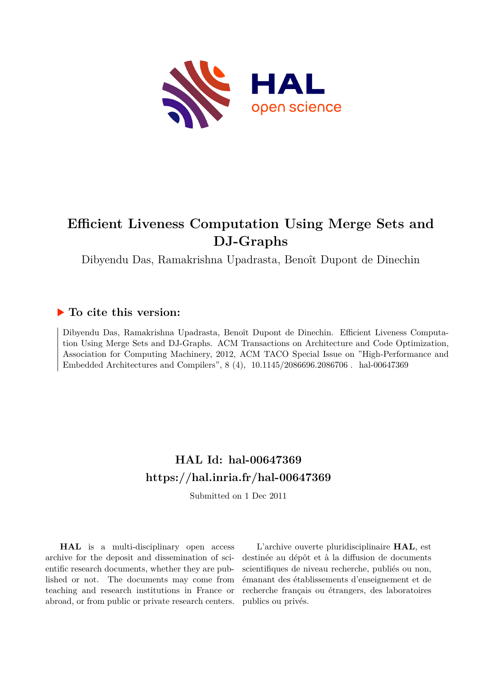

Dibyendu Das, Ramakrishna Upadrasta, Benoît Dupont de Dinechin

## **To cite this version:**

Dibyendu Das, Ramakrishna Upadrasta, Benoît Dupont de Dinechin. Efficient Liveness Computation Using Merge Sets and DJ-Graphs. ACM Transactions on Architecture and Code Optimization, Association for Computing Machinery, 2012, ACM TACO Special Issue on "High-Performance and Embedded Architectures and Compilers",  $8(4)$ ,  $10.1145/2086696.2086706$ . hal-00647369

# **HAL Id: hal-00647369 <https://hal.inria.fr/hal-00647369>**

Submitted on 1 Dec 2011

**HAL** is a multi-disciplinary open access archive for the deposit and dissemination of scientific research documents, whether they are published or not. The documents may come from teaching and research institutions in France or abroad, or from public or private research centers.

L'archive ouverte pluridisciplinaire **HAL**, est destinée au dépôt et à la diffusion de documents scientifiques de niveau recherche, publiés ou non, émanant des établissements d'enseignement et de recherche français ou étrangers, des laboratoires publics ou privés.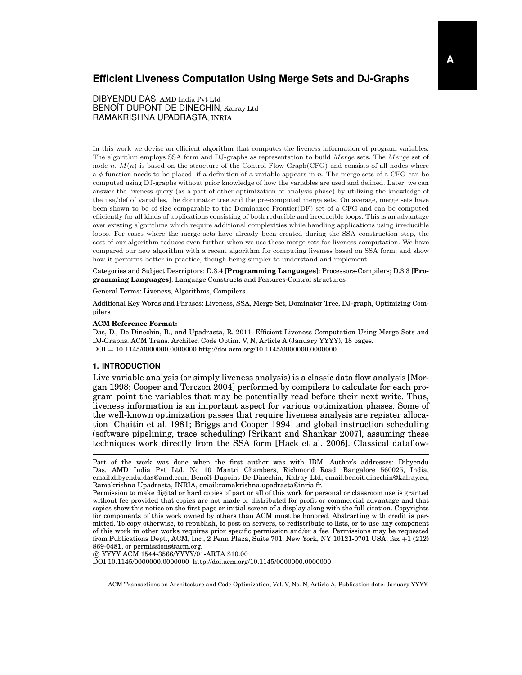DIBYENDU DAS, AMD India Pvt Ltd BENOÎT DUPONT DE DINECHIN, Kalray Ltd RAMAKRISHNA UPADRASTA, INRIA

In this work we devise an efficient algorithm that computes the liveness information of program variables. The algorithm employs SSA form and DJ-graphs as representation to build Merge sets. The Merge set of node  $n, M(n)$  is based on the structure of the Control Flow Graph(CFG) and consists of all nodes where a  $\phi$ -function needs to be placed, if a definition of a variable appears in n. The merge sets of a CFG can be computed using DJ-graphs without prior knowledge of how the variables are used and defined. Later, we can answer the liveness query (as a part of other optimization or analysis phase) by utilizing the knowledge of the use/def of variables, the dominator tree and the pre-computed merge sets. On average, merge sets have been shown to be of size comparable to the Dominance Frontier(DF) set of a CFG and can be computed efficiently for all kinds of applications consisting of both reducible and irreducible loops. This is an advantage over existing algorithms which require additional complexities while handling applications using irreducible loops. For cases where the merge sets have already been created during the SSA construction step, the cost of our algorithm reduces even further when we use these merge sets for liveness computation. We have compared our new algorithm with a recent algorithm for computing liveness based on SSA form, and show how it performs better in practice, though being simpler to understand and implement.

Categories and Subject Descriptors: D.3.4 [**Programming Languages**]: Processors-Compilers; D.3.3 [**Programming Languages**]: Language Constructs and Features-Control structures

General Terms: Liveness, Algorithms, Compilers

Additional Key Words and Phrases: Liveness, SSA, Merge Set, Dominator Tree, DJ-graph, Optimizing Compilers

#### **ACM Reference Format:**

Das, D., De Dinechin, B., and Upadrasta, R. 2011. Efficient Liveness Computation Using Merge Sets and DJ-Graphs. ACM Trans. Architec. Code Optim. V, N, Article A (January YYYY), 18 pages. DOI = 10.1145/0000000.0000000 http://doi.acm.org/10.1145/0000000.0000000

## **1. INTRODUCTION**

Live variable analysis (or simply liveness analysis) is a classic data flow analysis [Morgan 1998; Cooper and Torczon 2004] performed by compilers to calculate for each program point the variables that may be potentially read before their next write. Thus, liveness information is an important aspect for various optimization phases. Some of the well-known optimization passes that require liveness analysis are register allocation [Chaitin et al. 1981; Briggs and Cooper 1994] and global instruction scheduling (software pipelining, trace scheduling) [Srikant and Shankar 2007], assuming these techniques work directly from the SSA form [Hack et al. 2006]. Classical dataflow-

c YYYY ACM 1544-3566/YYYY/01-ARTA \$10.00

DOI 10.1145/0000000.0000000 http://doi.acm.org/10.1145/0000000.0000000

Part of the work was done when the first author was with IBM. Author's addresses: Dibyendu Das, AMD India Pvt Ltd, No 10 Mantri Chambers, Richmond Road, Bangalore 560025, India, email:dibyendu.das@amd.com; Benoît Dupoint De Dinechin, Kalray Ltd, email:benoit.dinechin@kalray.eu; Ramakrishna Upadrasta, INRIA, email:ramakrishna.upadrasta@inria.fr.

Permission to make digital or hard copies of part or all of this work for personal or classroom use is granted without fee provided that copies are not made or distributed for profit or commercial advantage and that copies show this notice on the first page or initial screen of a display along with the full citation. Copyrights for components of this work owned by others than ACM must be honored. Abstracting with credit is permitted. To copy otherwise, to republish, to post on servers, to redistribute to lists, or to use any component of this work in other works requires prior specific permission and/or a fee. Permissions may be requested from Publications Dept., ACM, Inc., 2 Penn Plaza, Suite 701, New York, NY 10121-0701 USA, fax +1 (212) 869-0481, or permissions@acm.org.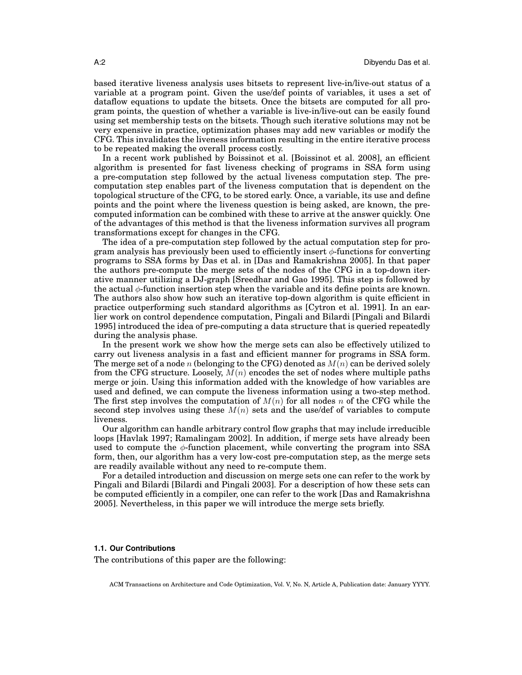based iterative liveness analysis uses bitsets to represent live-in/live-out status of a variable at a program point. Given the use/def points of variables, it uses a set of dataflow equations to update the bitsets. Once the bitsets are computed for all program points, the question of whether a variable is live-in/live-out can be easily found using set membership tests on the bitsets. Though such iterative solutions may not be very expensive in practice, optimization phases may add new variables or modify the CFG. This invalidates the liveness information resulting in the entire iterative process to be repeated making the overall process costly.

In a recent work published by Boissinot et al. [Boissinot et al. 2008], an efficient algorithm is presented for fast liveness checking of programs in SSA form using a pre-computation step followed by the actual liveness computation step. The precomputation step enables part of the liveness computation that is dependent on the topological structure of the CFG, to be stored early. Once, a variable, its use and define points and the point where the liveness question is being asked, are known, the precomputed information can be combined with these to arrive at the answer quickly. One of the advantages of this method is that the liveness information survives all program transformations except for changes in the CFG.

The idea of a pre-computation step followed by the actual computation step for program analysis has previously been used to efficiently insert  $\phi$ -functions for converting programs to SSA forms by Das et al. in [Das and Ramakrishna 2005]. In that paper the authors pre-compute the merge sets of the nodes of the CFG in a top-down iterative manner utilizing a DJ-graph [Sreedhar and Gao 1995]. This step is followed by the actual  $\phi$ -function insertion step when the variable and its define points are known. The authors also show how such an iterative top-down algorithm is quite efficient in practice outperforming such standard algorithms as [Cytron et al. 1991]. In an earlier work on control dependence computation, Pingali and Bilardi [Pingali and Bilardi 1995] introduced the idea of pre-computing a data structure that is queried repeatedly during the analysis phase.

In the present work we show how the merge sets can also be effectively utilized to carry out liveness analysis in a fast and efficient manner for programs in SSA form. The merge set of a node n (belonging to the CFG) denoted as  $M(n)$  can be derived solely from the CFG structure. Loosely,  $M(n)$  encodes the set of nodes where multiple paths merge or join. Using this information added with the knowledge of how variables are used and defined, we can compute the liveness information using a two-step method. The first step involves the computation of  $M(n)$  for all nodes n of the CFG while the second step involves using these  $M(n)$  sets and the use/def of variables to compute liveness.

Our algorithm can handle arbitrary control flow graphs that may include irreducible loops [Havlak 1997; Ramalingam 2002]. In addition, if merge sets have already been used to compute the  $\phi$ -function placement, while converting the program into SSA form, then, our algorithm has a very low-cost pre-computation step, as the merge sets are readily available without any need to re-compute them.

For a detailed introduction and discussion on merge sets one can refer to the work by Pingali and Bilardi [Bilardi and Pingali 2003]. For a description of how these sets can be computed efficiently in a compiler, one can refer to the work [Das and Ramakrishna 2005]. Nevertheless, in this paper we will introduce the merge sets briefly.

## **1.1. Our Contributions**

The contributions of this paper are the following: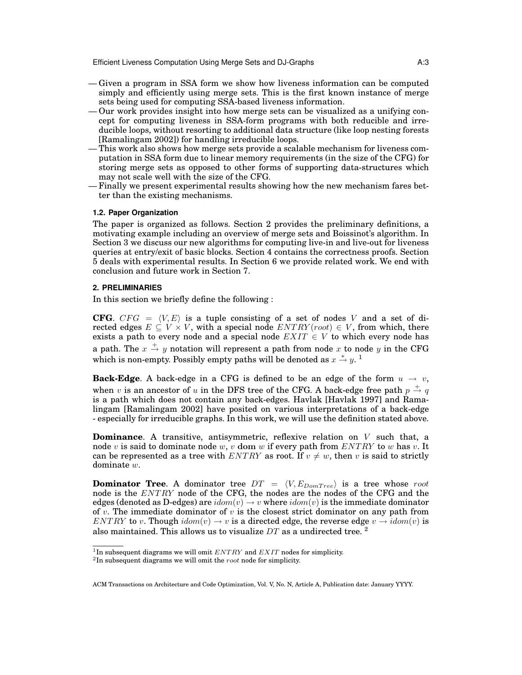- Given a program in SSA form we show how liveness information can be computed simply and efficiently using merge sets. This is the first known instance of merge sets being used for computing SSA-based liveness information.
- Our work provides insight into how merge sets can be visualized as a unifying concept for computing liveness in SSA-form programs with both reducible and irreducible loops, without resorting to additional data structure (like loop nesting forests [Ramalingam 2002]) for handling irreducible loops.
- This work also shows how merge sets provide a scalable mechanism for liveness computation in SSA form due to linear memory requirements (in the size of the CFG) for storing merge sets as opposed to other forms of supporting data-structures which may not scale well with the size of the CFG.
- Finally we present experimental results showing how the new mechanism fares better than the existing mechanisms.

### **1.2. Paper Organization**

The paper is organized as follows. Section 2 provides the preliminary definitions, a motivating example including an overview of merge sets and Boissinot's algorithm. In Section 3 we discuss our new algorithms for computing live-in and live-out for liveness queries at entry/exit of basic blocks. Section 4 contains the correctness proofs. Section 5 deals with experimental results. In Section 6 we provide related work. We end with conclusion and future work in Section 7.

## **2. PRELIMINARIES**

In this section we briefly define the following :

**CFG.**  $CFG = \langle V, E \rangle$  is a tuple consisting of a set of nodes V and a set of directed edges  $E \subseteq V \times V$ , with a special node  $ENTRY(root) \in V$ , from which, there exists a path to every node and a special node  $EXIT \in V$  to which every node has a path. The  $x\stackrel{+}{\rightarrow}y$  notation will represent a path from node  $x$  to node  $y$  in the CFG which is non-empty. Possibly empty paths will be denoted as  $x \stackrel{*}{\rightarrow} y$ .<sup>1</sup>

**Back-Edge**. A back-edge in a CFG is defined to be an edge of the form  $u \rightarrow v$ , when  $v$  is an ancestor of  $u$  in the DFS tree of the CFG. A back-edge free path  $p \, \stackrel{+}{\rightarrow} \, q$ is a path which does not contain any back-edges. Havlak [Havlak 1997] and Ramalingam [Ramalingam 2002] have posited on various interpretations of a back-edge - especially for irreducible graphs. In this work, we will use the definition stated above.

**Dominance**. A transitive, antisymmetric, reflexive relation on V such that, a node v is said to dominate node w, v dom w if every path from  $ENTRY$  to w has v. It can be represented as a tree with  $ENTRY$  as root. If  $v \neq w$ , then v is said to strictly dominate w.

**Dominator Tree.** A dominator tree  $DT = \langle V, E_{DomTree} \rangle$  is a tree whose root node is the  $ENTRY$  node of the CFG, the nodes are the nodes of the CFG and the edges (denoted as D-edges) are  $idom(v) \rightarrow v$  where  $idom(v)$  is the immediate dominator of v. The immediate dominator of v is the closest strict dominator on any path from ENTRY to v. Though  $idom(v) \rightarrow v$  is a directed edge, the reverse edge  $v \rightarrow idom(v)$  is also maintained. This allows us to visualize  $DT$  as a undirected tree.  $2$ 

<sup>&</sup>lt;sup>1</sup>In subsequent diagrams we will omit  $ENTRY$  and  $EXIT$  nodes for simplicity.

<sup>&</sup>lt;sup>2</sup>In subsequent diagrams we will omit the root node for simplicity.

ACM Transactions on Architecture and Code Optimization, Vol. V, No. N, Article A, Publication date: January YYYY.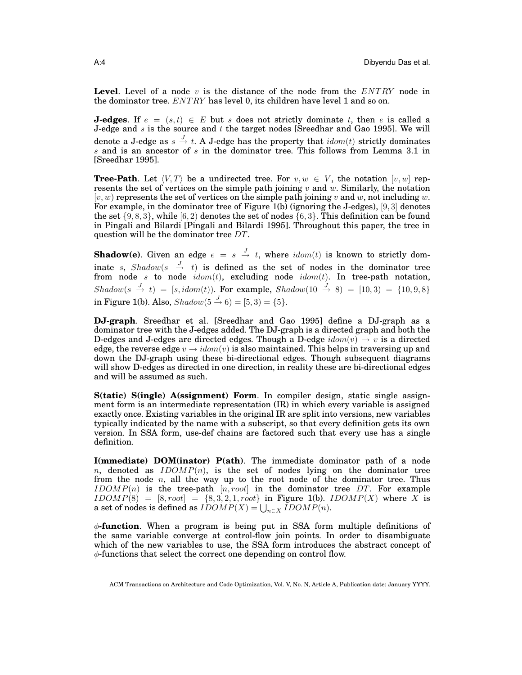**Level.** Level of a node v is the distance of the node from the  $ENTRY$  node in the dominator tree.  $ENTRY$  has level 0, its children have level 1 and so on.

**J-edges**. If  $e = (s, t) \in E$  but s does not strictly dominate t, then e is called a J-edge and s is the source and t the target nodes [Sreedhar and Gao 1995]. We will denote a J-edge as  $s\stackrel{J}{\rightarrow} t.$  A J-edge has the property that  $idom(t)$  strictly dominates s and is an ancestor of s in the dominator tree. This follows from Lemma 3.1 in [Sreedhar 1995].

**Tree-Path**. Let  $\langle V, T \rangle$  be a undirected tree. For  $v, w \in V$ , the notation  $[v, w]$  represents the set of vertices on the simple path joining  $v$  and  $w$ . Similarly, the notation  $[v, w]$  represents the set of vertices on the simple path joining v and w, not including w. For example, in the dominator tree of Figure 1(b) (ignoring the J-edges), [9, 3] denotes the set  $\{9, 8, 3\}$ , while  $[6, 2)$  denotes the set of nodes  $\{6, 3\}$ . This definition can be found in Pingali and Bilardi [Pingali and Bilardi 1995]. Throughout this paper, the tree in question will be the dominator tree DT.

**Shadow(e)**. Given an edge  $e = s \stackrel{J}{\rightarrow} t$ , where  $idom(t)$  is known to strictly dominate s,  $Shadow(s \rightarrow t)$  is defined as the set of nodes in the dominator tree from node s to node  $idom(t)$ , excluding node  $idom(t)$ . In tree-path notation,  $Shadow(s \stackrel{J}{\rightarrow} t) = [s, idom(t)).$  For example,  $Shadow(10 \stackrel{J}{\rightarrow} 8) = [10, 3) = \{10, 9, 8\}$ in Figure 1(b). Also,  $Shadow(5 \stackrel{J}{\rightarrow} 6) = [5, 3) = \{5\}.$ 

**DJ-graph**. Sreedhar et al. [Sreedhar and Gao 1995] define a DJ-graph as a dominator tree with the J-edges added. The DJ-graph is a directed graph and both the D-edges and J-edges are directed edges. Though a D-edge  $idom(v) \rightarrow v$  is a directed edge, the reverse edge  $v \rightarrow idom(v)$  is also maintained. This helps in traversing up and down the DJ-graph using these bi-directional edges. Though subsequent diagrams will show D-edges as directed in one direction, in reality these are bi-directional edges and will be assumed as such.

**S(tatic) S(ingle) A(ssignment) Form**. In compiler design, static single assignment form is an intermediate representation (IR) in which every variable is assigned exactly once. Existing variables in the original IR are split into versions, new variables typically indicated by the name with a subscript, so that every definition gets its own version. In SSA form, use-def chains are factored such that every use has a single definition.

**I(mmediate) DOM(inator) P(ath)**. The immediate dominator path of a node n, denoted as  $IDOMP(n)$ , is the set of nodes lying on the dominator tree from the node  $n$ , all the way up to the root node of the dominator tree. Thus  $IDOMP(n)$  is the tree-path  $[n, root]$  in the dominator tree DT. For example  $IDOMP(8) = [8, root] = \{8, 3, 2, 1, root\}$  in Figure 1(b).  $IDOMP(X)$  where X is a set of nodes is defined as  $IDOMP(X) = \bigcup_{n \in X} IDOMP(n)$ .

φ**-function**. When a program is being put in SSA form multiple definitions of the same variable converge at control-flow join points. In order to disambiguate which of the new variables to use, the SSA form introduces the abstract concept of φ-functions that select the correct one depending on control flow.

ACM Transactions on Architecture and Code Optimization, Vol. V, No. N, Article A, Publication date: January YYYY.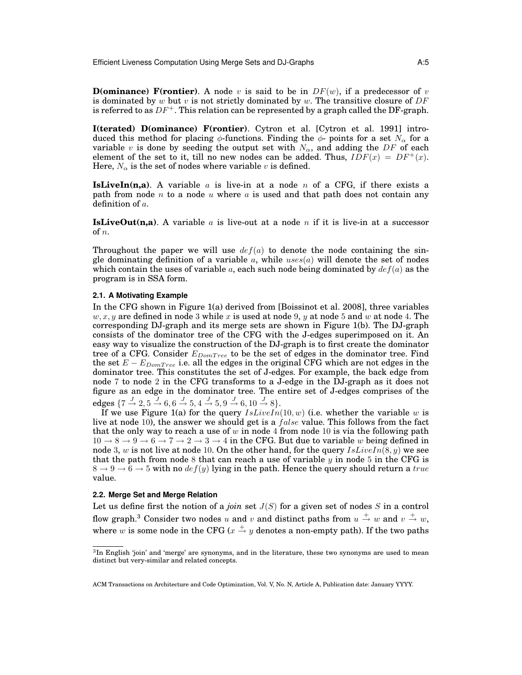**D(ominance) F(rontier).** A node v is said to be in  $DF(w)$ , if a predecessor of v is dominated by w but v is not strictly dominated by w. The transitive closure of  $DF$ is referred to as  $DF^+$ . This relation can be represented by a graph called the DF-graph.

**I(terated) D(ominance) F(rontier)**. Cytron et al. [Cytron et al. 1991] introduced this method for placing  $\phi$ -functions. Finding the  $\phi$ - points for a set  $N_\alpha$  for a variable v is done by seeding the output set with  $N_{\alpha}$ , and adding the DF of each element of the set to it, till no new nodes can be added. Thus,  $IDF(x) = DF^{+}(x)$ . Here,  $N_{\alpha}$  is the set of nodes where variable v is defined.

**IsLiveIn(n,a)**. A variable a is live-in at a node n of a CFG, if there exists a path from node n to a node u where a is used and that path does not contain any definition of a.

**IsLiveOut(n,a)**. A variable a is live-out at a node n if it is live-in at a successor of  $n$ .

Throughout the paper we will use  $def(a)$  to denote the node containing the single dominating definition of a variable a, while  $uses(a)$  will denote the set of nodes which contain the uses of variable a, each such node being dominated by  $def(a)$  as the program is in SSA form.

## **2.1. A Motivating Example**

In the CFG shown in Figure 1(a) derived from [Boissinot et al. 2008], three variables  $w, x, y$  are defined in node 3 while x is used at node 9, y at node 5 and w at node 4. The corresponding DJ-graph and its merge sets are shown in Figure 1(b). The DJ-graph consists of the dominator tree of the CFG with the J-edges superimposed on it. An easy way to visualize the construction of the DJ-graph is to first create the dominator tree of a CFG. Consider  $E_{DomTree}$  to be the set of edges in the dominator tree. Find the set  $E - E_{DomTree}$  i.e. all the edges in the original CFG which are not edges in the dominator tree. This constitutes the set of J-edges. For example, the back edge from node 7 to node 2 in the CFG transforms to a J-edge in the DJ-graph as it does not figure as an edge in the dominator tree. The entire set of J-edges comprises of the  $\text{edges } \{ 7 \stackrel{J}{\rightarrow} 2, 5 \stackrel{J}{\rightarrow} 6, 6 \stackrel{J}{\rightarrow} 5, 4 \stackrel{J}{\rightarrow} 5, 9 \stackrel{J}{\rightarrow} 6, 10 \stackrel{J}{\rightarrow} 8 \}.$ 

If we use Figure 1(a) for the query  $IsLiveIn(10, w)$  (i.e. whether the variable w is live at node 10), the answer we should get is a  $false$  value. This follows from the fact that the only way to reach a use of  $w$  in node 4 from node 10 is via the following path  $10 \rightarrow 8 \rightarrow 9 \rightarrow 6 \rightarrow 7 \rightarrow 2 \rightarrow 3 \rightarrow 4$  in the CFG. But due to variable w being defined in node 3, w is not live at node 10. On the other hand, for the query  $IsLiveIn(8, y)$  we see that the path from node 8 that can reach a use of variable  $y$  in node 5 in the CFG is  $8 \rightarrow 9 \rightarrow 6 \rightarrow 5$  with no  $def(y)$  lying in the path. Hence the query should return a true value.

## **2.2. Merge Set and Merge Relation**

Let us define first the notion of a *join* set  $J(S)$  for a given set of nodes S in a control flow graph. $^3$  Consider two nodes  $u$  and  $v$  and distinct paths from  $u\stackrel{+}{\rightarrow}w$  and  $v\stackrel{+}{\rightarrow}w,$ where  $w$  is some node in the CFG ( $x\stackrel{+}{\rightarrow}y$  denotes a non-empty path). If the two paths

 ${}^{3}$ In English 'join' and 'merge' are synonyms, and in the literature, these two synonyms are used to mean distinct but very-similar and related concepts.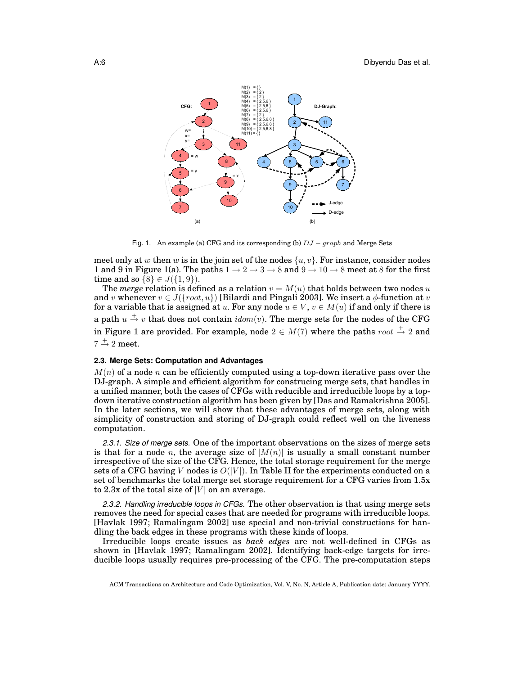

Fig. 1. An example (a) CFG and its corresponding (b)  $DJ - graph$  and Merge Sets

meet only at w then w is in the join set of the nodes  $\{u, v\}$ . For instance, consider nodes 1 and 9 in Figure 1(a). The paths  $1 \rightarrow 2 \rightarrow 3 \rightarrow 8$  and  $9 \rightarrow 10 \rightarrow 8$  meet at 8 for the first time and so  $\{8\} \in J(\{1,9\})$ .

The *merge* relation is defined as a relation  $v = M(u)$  that holds between two nodes u and v whenever  $v \in J({\{root, u\}})$  [Bilardi and Pingali 2003]. We insert a  $\phi$ -function at v for a variable that is assigned at u. For any node  $u \in V$ ,  $v \in M(u)$  if and only if there is a path  $u\stackrel{+}{\rightarrow}v$  that does not contain  $idom(v).$  The merge sets for the nodes of the CFG in Figure 1 are provided. For example, node  $2 \in M(7)$  where the paths  $root \stackrel{+}{\rightarrow} 2$  and  $7 \stackrel{+}{\rightarrow} 2$  meet.

## **2.3. Merge Sets: Computation and Advantages**

 $M(n)$  of a node n can be efficiently computed using a top-down iterative pass over the DJ-graph. A simple and efficient algorithm for construcing merge sets, that handles in a unified manner, both the cases of CFGs with reducible and irreducible loops by a topdown iterative construction algorithm has been given by [Das and Ramakrishna 2005]. In the later sections, we will show that these advantages of merge sets, along with simplicity of construction and storing of DJ-graph could reflect well on the liveness computation.

*2.3.1. Size of merge sets.* One of the important observations on the sizes of merge sets is that for a node n, the average size of  $|M(n)|$  is usually a small constant number irrespective of the size of the CFG. Hence, the total storage requirement for the merge sets of a CFG having V nodes is  $O(|V|)$ . In Table II for the experiments conducted on a set of benchmarks the total merge set storage requirement for a CFG varies from 1.5x to 2.3x of the total size of  $|V|$  on an average.

*2.3.2. Handling irreducible loops in CFGs.* The other observation is that using merge sets removes the need for special cases that are needed for programs with irreducible loops. [Havlak 1997; Ramalingam 2002] use special and non-trivial constructions for handling the back edges in these programs with these kinds of loops.

Irreducible loops create issues as *back edges* are not well-defined in CFGs as shown in [Havlak 1997; Ramalingam 2002]. Identifying back-edge targets for irreducible loops usually requires pre-processing of the CFG. The pre-computation steps

ACM Transactions on Architecture and Code Optimization, Vol. V, No. N, Article A, Publication date: January YYYY.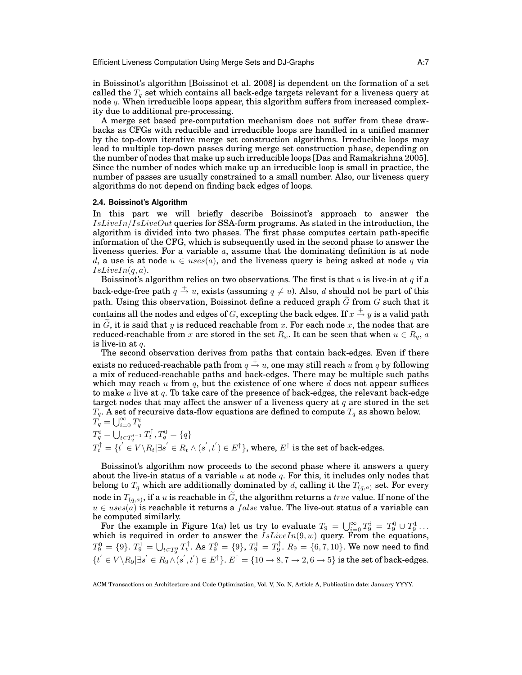in Boissinot's algorithm [Boissinot et al. 2008] is dependent on the formation of a set called the  $T_q$  set which contains all back-edge targets relevant for a liveness query at node  $q$ . When irreducible loops appear, this algorithm suffers from increased complexity due to additional pre-processing.

A merge set based pre-computation mechanism does not suffer from these drawbacks as CFGs with reducible and irreducible loops are handled in a unified manner by the top-down iterative merge set construction algorithms. Irreducible loops may lead to multiple top-down passes during merge set construction phase, depending on the number of nodes that make up such irreducible loops [Das and Ramakrishna 2005]. Since the number of nodes which make up an irreducible loop is small in practice, the number of passes are usually constrained to a small number. Also, our liveness query algorithms do not depend on finding back edges of loops.

## **2.4. Boissinot's Algorithm**

In this part we will briefly describe Boissinot's approach to answer the IsLiveIn/IsLiveOut queries for SSA-form programs. As stated in the introduction, the algorithm is divided into two phases. The first phase computes certain path-specific information of the CFG, which is subsequently used in the second phase to answer the liveness queries. For a variable a, assume that the dominating definition is at node d, a use is at node  $u \in uses(a)$ , and the liveness query is being asked at node q via  $IsLiveIn(q, a).$ 

Boissinot's algorithm relies on two observations. The first is that  $a$  is live-in at  $q$  if a back-edge-free path  $q\stackrel{+}{\rightarrow}u,$  exists (assuming  $q\neq u$ ). Also,  $d$  should not be part of this path. Using this observation, Boissinot define a reduced graph  $\widetilde{G}$  from G such that it contains all the nodes and edges of  $G$ , excepting the back edges. If  $x\stackrel{+}{\rightarrow}y$  is a valid path in  $\tilde{G}$ , it is said that y is reduced reachable from x. For each node x, the nodes that are reduced-reachable from x are stored in the set  $R_x$ . It can be seen that when  $u \in R_a$ , a is live-in at  $q$ .

The second observation derives from paths that contain back-edges. Even if there exists no reduced-reachable path from  $q\overset{+}{\rightarrow}u,$  one may still reach  $u$  from  $q$  by following a mix of reduced-reachable paths and back-edges. There may be multiple such paths which may reach  $u$  from  $q$ , but the existence of one where  $d$  does not appear suffices to make a live at  $q$ . To take care of the presence of back-edges, the relevant back-edge target nodes that may affect the answer of a liveness query at  $q$  are stored in the set  $T_q$ . A set of recursive data-flow equations are defined to compute  $T_q$  as shown below.  $T_q^i = \bigcup_{i=0}^{\infty} T_q^i$ 

 $T_q^i = \bigcup_{t \in T_q^{i-1}} T_t^{\uparrow}, T_q^0 = \{q\}$  $T^\uparrow_t = \{ t^{'} \in V \backslash R_t | \exists s^{'} \in R_t \wedge (s^{'},t^{'}) \in E^\uparrow \}, \text{ where, } E^\uparrow \text{ is the set of back-edges.}$ 

Boissinot's algorithm now proceeds to the second phase where it answers a query about the live-in status of a variable  $a$  at node  $q$ . For this, it includes only nodes that belong to  $T_q$  which are additionally dominated by d, calling it the  $T_{(q,a)}$  set. For every node in  $T_{(q,a)}$ , if a  $u$  is reachable in  $G,$  the algorithm returns a  $true$  value. If none of the  $u \in uses(a)$  is reachable it returns a *false* value. The live-out status of a variable can be computed similarly.

For the example in Figure 1(a) let us try to evaluate  $T_9 = \bigcup_{i=0}^{\infty} T_9^i = T_9^0 \cup T_9^1 \dots$ which is required in order to answer the  $IsLiveIn(9, w)$  query. From the equations,  $T^0_9=\{9\}$ .  $T^{\bar 1}_9=\bigcup_{t\in T^0_9}T^{\uparrow}_t.$  As  $T^0_9=\{9\}$ ,  $T^1_9=T^{\uparrow}_9.$   $R_9=\{6,7,10\}.$  We now need to find  $\{t^{'}\in V\setminus R_{9}|\exists s^{'}\in R_{9}\land(s^{'},t^{'})\in E^{\uparrow}\}.$   $E^{\uparrow}=\{10\rightarrow8,7\rightarrow2,6\rightarrow5\}$  is the set of back-edges.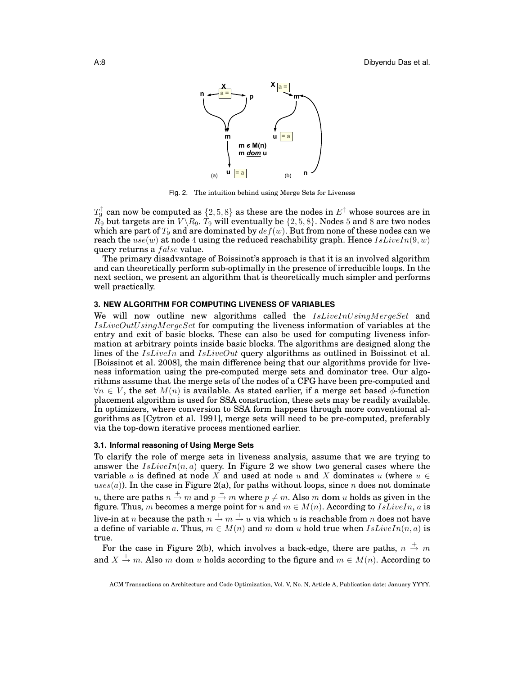

Fig. 2. The intuition behind using Merge Sets for Liveness

 $T_9^\uparrow$  can now be computed as  $\{2,5,8\}$  as these are the nodes in  $E^\uparrow$  whose sources are in  $R_9$  but targets are in  $V \ R_9$ .  $T_9$  will eventually be  $\{2, 5, 8\}$ . Nodes 5 and 8 are two nodes which are part of  $T_9$  and are dominated by  $def(w)$ . But from none of these nodes can we reach the  $use(w)$  at node 4 using the reduced reachability graph. Hence  $IsLiveIn(9, w)$ query returns a *false* value.

The primary disadvantage of Boissinot's approach is that it is an involved algorithm and can theoretically perform sub-optimally in the presence of irreducible loops. In the next section, we present an algorithm that is theoretically much simpler and performs well practically.

## **3. NEW ALGORITHM FOR COMPUTING LIVENESS OF VARIABLES**

We will now outline new algorithms called the *IsLiveInUsingMergeSet* and IsLiveOutUsingMergeSet for computing the liveness information of variables at the entry and exit of basic blocks. These can also be used for computing liveness information at arbitrary points inside basic blocks. The algorithms are designed along the lines of the  $IsLiveIn$  and  $IsLiveOut$  query algorithms as outlined in Boissinot et al. [Boissinot et al. 2008], the main difference being that our algorithms provide for liveness information using the pre-computed merge sets and dominator tree. Our algorithms assume that the merge sets of the nodes of a CFG have been pre-computed and  $\forall n \in V$ , the set  $M(n)$  is available. As stated earlier, if a merge set based  $\phi$ -function placement algorithm is used for SSA construction, these sets may be readily available. In optimizers, where conversion to SSA form happens through more conventional algorithms as [Cytron et al. 1991], merge sets will need to be pre-computed, preferably via the top-down iterative process mentioned earlier.

## **3.1. Informal reasoning of Using Merge Sets**

To clarify the role of merge sets in liveness analysis, assume that we are trying to answer the  $IsLiveIn(n, a)$  query. In Figure 2 we show two general cases where the variable a is defined at node X and used at node u and X dominates u (where  $u \in$  $uses(a)$ ). In the case in Figure 2(a), for paths without loops, since n does not dominate  $u,$  there are paths  $n\stackrel{+}{\rightarrow}m$  and  $p\stackrel{+}{\rightarrow}m$  where  $p\neq m.$  Also  $m$  dom  $u$  holds as given in the figure. Thus, m becomes a merge point for n and  $m \in M(n)$ . According to  $I\tilde{slive}In, a$  is live-in at  $n$  because the path  $n\stackrel{+}{\rightarrow}m\stackrel{+}{\rightarrow}u$  via which  $u$  is reachable from  $n$  does not have a define of variable a. Thus,  $m \in M(n)$  and m dom u hold true when  $IsLiveIn(n, a)$  is true.

For the case in Figure 2(b), which involves a back-edge, there are paths,  $n \, \stackrel{+}{\to} \, m$ and  $X\stackrel{+}{\rightarrow}m.$  Also  $m$  dom  $u$  holds according to the figure and  $m\in M(n).$  According to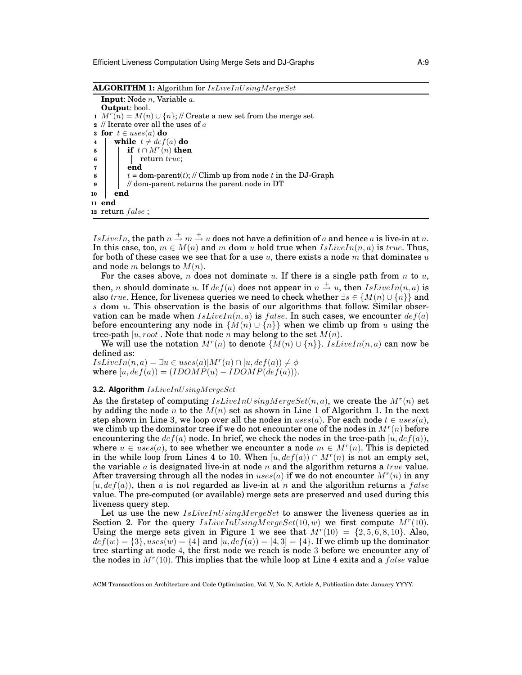**ALGORITHM 1:** Algorithm for IsLiveInUsingMergeSet

**Input**: Node n, Variable a. **Output**: bool. **1**  $M^{r}(n) = M(n) \cup \{n\};$  // Create a new set from the merge set **<sup>2</sup>** // Iterate over all the uses of a **3 for**  $t \in uses(a)$  **do 4 while**  $t \neq def(a)$  **do 5 if**  $t \cap M^{r}(n)$  **then 6 d return** true; **<sup>7</sup> end 8**  $\begin{bmatrix} \n\cdot & \cdot \\
\cdot & \cdot \\
\cdot & \cdot\n\end{bmatrix}$   $t = \text{dom-part}(t); \text{ // } \text{Climb up from node } t \text{ in the DJ-Graph}$ **9** / // dom-parent returns the parent node in DT **<sup>10</sup> end <sup>11</sup> end** 12 return  $false$ ;

 $IsLiveIn,$  the path  $n\stackrel{+}{\rightarrow}m\stackrel{+}{\rightarrow}u$  does not have a definition of  $a$  and hence  $a$  is live-in at  $n.$ In this case, too,  $m \in M(n)$  and m dom u hold true when  $IsLiveIn(n, a)$  is true. Thus, for both of these cases we see that for a use  $u$ , there exists a node  $m$  that dominates  $u$ and node m belongs to  $M(n)$ .

For the cases above, n does not dominate u. If there is a single path from n to  $u$ , then, n should dominate u. If  $def(a)$  does not appear in  $n \stackrel{+}{\rightarrow} u$ , then  $IsLiveIn(n, a)$  is also true. Hence, for liveness queries we need to check whether  $\exists s \in \{M(n) \cup \{n\}\}\$  and  $s$  dom  $u$ . This observation is the basis of our algorithms that follow. Similar observation can be made when  $IsLiveIn(n, a)$  is false. In such cases, we encounter  $def(a)$ before encountering any node in  $\{M(n) \cup \{n\}\}\$  when we climb up from u using the tree-path [u, root]. Note that node n may belong to the set  $M(n)$ .

We will use the notation  $M^{r}(n)$  to denote  $\{M(n) \cup \{n\}\}\$ . IsLiveIn(n, a) can now be defined as:

 $IsLiveIn(n, a) = \exists u \in uses(a)|M^r(n) \cap [u, def(a)) \neq \phi$ where  $[u, def(a)] = (IDOMP(u) - IDOMP(def(a))).$ 

## **3.2. Algorithm** IsLiveInUsingMergeSet

As the firststep of computing  $IsLiveInUsingMergeSet(n, a)$ , we create the  $M<sup>r</sup>(n)$  set by adding the node n to the  $M(n)$  set as shown in Line 1 of Algorithm 1. In the next step shown in Line 3, we loop over all the nodes in  $uses(a)$ . For each node  $t \in uses(a)$ , we climb up the dominator tree if we do not encounter one of the nodes in  $M^{r}(n)$  before encountering the  $def(a)$  node. In brief, we check the nodes in the tree-path  $[u, def(a))$ , where  $u \in uses(a)$ , to see whether we encounter a node  $m \in M^{r}(n)$ . This is depicted in the while loop from Lines 4 to 10. When  $[u, def(a)) \cap M^{r}(n)$  is not an empty set, the variable  $a$  is designated live-in at node  $n$  and the algorithm returns a true value. After traversing through all the nodes in  $uses(a)$  if we do not encounter  $M<sup>r</sup>(n)$  in any  $[u, def(a))$ , then a is not regarded as live-in at n and the algorithm returns a false value. The pre-computed (or available) merge sets are preserved and used during this liveness query step.

Let us use the new  $IsLiveInUsingMergeSet$  to answer the liveness queries as in Section 2. For the query  $IsLiveInUsingMergeSet(10, w)$  we first compute  $M<sup>r</sup>(10)$ . Using the merge sets given in Figure 1 we see that  $M^{r}(10) = \{2, 5, 6, 8, 10\}$ . Also,  $def(w) = \{3\}, uses(w) = \{4\}$  and  $[u, def(a)] = [4, 3] = \{4\}.$  If we climb up the dominator tree starting at node 4, the first node we reach is node 3 before we encounter any of the nodes in  $M<sup>r</sup>(10)$ . This implies that the while loop at Line 4 exits and a  $false$  value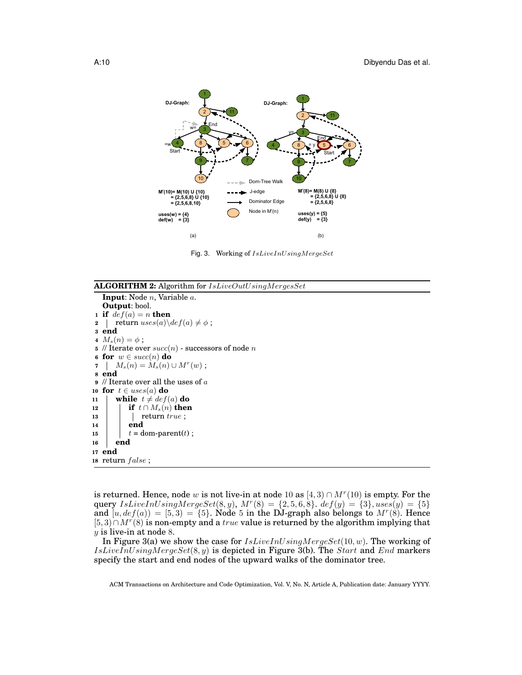

Fig. 3. Working of IsLiveInUsingMergeSet

**ALGORITHM 2:** Algorithm for IsLiveOutUsingMergesSet

**Input**: Node n, Variable a. **Output**: bool. **1 if**  $def(a) = n$  **then 2**  $\vert$  **return** uses(a) \def(a)  $\neq \phi$ ; **<sup>3</sup> end 4**  $M_s(n) = \phi$ ; **5** // Iterate over  $succ(n)$  - successors of node n **6 for**  $w \in succ(n)$  **do**<br>**7**  $M_e(n) = M_e(n)$ **7**  $M_s(n) = M_s(n) \cup M^r(w)$ ; **<sup>8</sup> end <sup>9</sup>** // Iterate over all the uses of a **10 for**  $t \in uses(a)$  **do 11 while**  $t \neq def(a)$  **do 12 if**  $t \cap M_s(n)$  **then** 13 **return** true; **<sup>14</sup> end** 15  $t = \text{dom-parent}(t)$ ; **<sup>16</sup> end <sup>17</sup> end** 18 return false;

is returned. Hence, node w is not live-in at node 10 as  $[4,3) \cap M^{r}(10)$  is empty. For the query  $IsLiveInUsingMergeSet(8, y), M<sup>r</sup>(8) = {2, 5, 6, 8}.$   $def(y) = {3}, uses(y) = {5}$ and  $[u, def(a)] = [5, 3) = \{5\}$ . Node 5 in the DJ-graph also belongs to  $M<sup>r</sup>(8)$ . Hence  $[5,3) \cap M^{r}(8)$  is non-empty and a true value is returned by the algorithm implying that  $y$  is live-in at node 8.

In Figure 3(a) we show the case for  $IsLiveInUsingMergeSet(10, w)$ . The working of IsLiveInUsingMergeSet(8, y) is depicted in Figure 3(b). The Start and End markers specify the start and end nodes of the upward walks of the dominator tree.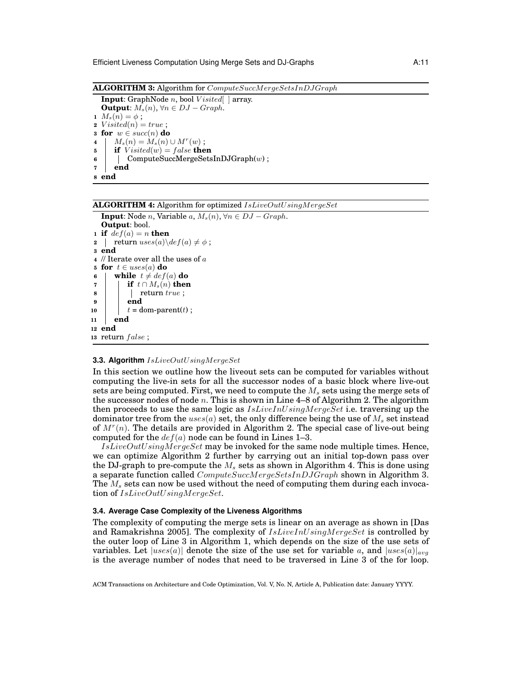**ALGORITHM 3:** Algorithm for ComputeSuccMergeSetsInDJGraph

**Input**: GraphNode *n*, bool *Visited* array. **Output**:  $M_s(n)$ ,  $\forall n \in DJ - Graph$ . **1**  $M_s(n) = \phi$ ; **2** Visited(n) = true ; **3 for**  $w \in succ(n)$  **do**  $\begin{aligned} \textbf{4} \quad | \quad M_s(n) = M_s(n) \cup M^r(w) \; ; \end{aligned}$ **5 if** Visited(w) = false **then**  $6$  | ComputeSuccMergeSetsInDJGraph $(w)$ ; **<sup>7</sup> end <sup>8</sup> end**

**ALGORITHM 4:** Algorithm for optimized IsLiveOutUsingMergeSet

```
Input: Node n, Variable a, M_s(n), \forall n \in DJ - Graph.
   Output: bool.
 1 if def(a) = n then
2 | return uses(a) \de^{\dagger}(a) \neq \phi;
3 end
4 // Iterate over all the uses of a
5 for t \in uses(a) do
6 while t \neq def(a) do
7 if t \cap M_s(n) then
8 | | | return true ;
9 end
10 t = \text{dom-parent}(t);
11 end
12 end
13 return false;
```
## **3.3. Algorithm** IsLiveOutUsingMergeSet

In this section we outline how the liveout sets can be computed for variables without computing the live-in sets for all the successor nodes of a basic block where live-out sets are being computed. First, we need to compute the  $M_s$  sets using the merge sets of the successor nodes of node n. This is shown in Line  $4-8$  of Algorithm 2. The algorithm then proceeds to use the same logic as  $IsLiveInUsingMergeSet$  i.e. traversing up the dominator tree from the  $uses(a)$  set, the only difference being the use of  $M_s$  set instead of  $M<sup>r</sup>(n)$ . The details are provided in Algorithm 2. The special case of live-out being computed for the  $def(a)$  node can be found in Lines 1–3.

 $IsLiveOutUsingMergeSet$  may be invoked for the same node multiple times. Hence, we can optimize Algorithm 2 further by carrying out an initial top-down pass over the DJ-graph to pre-compute the  $M_s$  sets as shown in Algorithm 4. This is done using a separate function called ComputeSuccMergeSetsInDJGraph shown in Algorithm 3. The  $M_s$  sets can now be used without the need of computing them during each invocation of IsLiveOutUsingMergeSet.

## **3.4. Average Case Complexity of the Liveness Algorithms**

The complexity of computing the merge sets is linear on an average as shown in [Das and Ramakrishna 2005]. The complexity of  $IsLiveInUsingMergeSet$  is controlled by the outer loop of Line 3 in Algorithm 1, which depends on the size of the use sets of variables. Let  $|uses(a)|$  denote the size of the use set for variable a, and  $|uses(a)|_{avg}$ is the average number of nodes that need to be traversed in Line 3 of the for loop.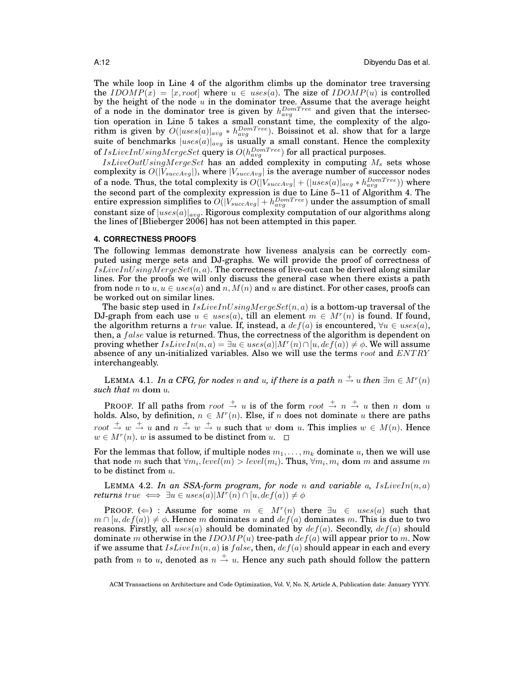The while loop in Line 4 of the algorithm climbs up the dominator tree traversing the  $IDOMP(x) = [x, root]$  where  $u \in uses(a)$ . The size of  $IDOMP(u)$  is controlled by the height of the node  $u$  in the dominator tree. Assume that the average height of a node in the dominator tree is given by  $h_{avg}^{DomTree}$  and given that the intersection operation in Line 5 takes a small constant time, the complexity of the algorithm is given by  $O(|uses(a)|_{avg} * h_{avg}^{DomTree})$ . Boissinot et al. show that for a large suite of benchmarks  $|uses(a)|_{avg}$  is usually a small constant. Hence the complexity of  $IsLiveInUsingMergeSet$  query is  $O(h_{avg}^{DomTree})$  for all practical purposes.

 $IsLiveOutUsingMergeSet$  has an added complexity in computing  $M_s$  sets whose complexity is  $O(|V_{succAvg}|)$ , where  $|V_{succAvg}|$  is the average number of successor nodes of a node. Thus, the total complexity is  $O(|V_{succAvg}| + (|uses(a)|_{avg}*h_{avg}^{DomTree}))$  where the second part of the complexity expression is due to Line 5–11 of Algorithm 4. The entire expression simplifies to  $O(|V_{succAvg}|+h_{avg}^{DomTree})$  under the assumption of small constant size of  $|uses(a)|_{avg}$ . Rigorous complexity computation of our algorithms along the lines of [Blieberger 2006] has not been attempted in this paper.

## **4. CORRECTNESS PROOFS**

The following lemmas demonstrate how liveness analysis can be correctly computed using merge sets and DJ-graphs. We will provide the proof of correctness of IsLiveInU singMergeSet(n, a). The correctness of live-out can be derived along similar lines. For the proofs we will only discuss the general case when there exists a path from node n to  $u, u \in uses(a)$  and  $n, M(n)$  and u are distinct. For other cases, proofs can be worked out on similar lines.

The basic step used in  $IsLiveInUsingMergeSet(n, a)$  is a bottom-up traversal of the DJ-graph from each use  $u \in uses(a)$ , till an element  $m \in M^{r}(n)$  is found. If found, the algorithm returns a true value. If, instead, a  $def(a)$  is encountered,  $\forall u \in uses(a)$ , then, a *false* value is returned. Thus, the correctness of the algorithm is dependent on proving whether  $IsLiveIn(n, a) = \exists u \in uses(a)|M^r(n) \cap [u, def(a)) \neq \emptyset$ . We will assume absence of any un-initialized variables. Also we will use the terms  $root$  and  $ENTRY$ interchangeably.

LEMMA 4.1. *In a CFG, for nodes* n and u, if there is a path  $n \stackrel{+}{\rightarrow} u$  then  $\exists m \in M^{r}(n)$ *such that* m dom u*.*

PROOF. If all paths from  $root \stackrel{+}{\rightarrow} u$  is of the form  $root \stackrel{+}{\rightarrow} n \stackrel{+}{\rightarrow} u$  then n dom u holds. Also, by definition,  $n \in M^{r}(n)$ . Else, if n does not dominate u there are paths root  $\stackrel{+}{\rightarrow} w \stackrel{+}{\rightarrow} u$  and  $n \stackrel{+}{\rightarrow} w \stackrel{+}{\rightarrow} u$  such that w dom u. This implies  $w \in M(n)$ . Hence  $w \in M^{r}(n)$ . w is assumed to be distinct from u.

For the lemmas that follow, if multiple nodes  $m_1, \ldots, m_k$  dominate u, then we will use that node  $m$  such that  $\forall m_i, level(m) > level(m_i)$ . Thus,  $\forall m_i, m_i$  dom  $m$  and assume  $m$ to be distinct from  $u$ .

LEMMA 4.2. In an SSA-form program, for node n and variable a,  $IsLiveIn(n, a)$  $returns\ true\ \Longleftrightarrow\ \exists u\in uses(a)| M^{r}(n)\cap [u,def(a))\neq \phi$ 

**PROOF.** ( $\Leftarrow$ ) : Assume for some  $m \in M^{r}(n)$  there  $\exists u \in uses(a)$  such that  $m \cap [u, \text{def}(a)] \neq \phi$ . Hence m dominates u and  $\text{def}(a)$  dominates m. This is due to two reasons. Firstly, all  $uses(a)$  should be dominated by  $def(a)$ . Secondly,  $def(a)$  should dominate m otherwise in the  $IDOMP(u)$  tree-path  $def(a)$  will appear prior to m. Now if we assume that  $IsLiveIn(n, a)$  is  $false$ , then,  $def(a)$  should appear in each and every path from  $n$  to  $u$ , denoted as  $n\stackrel{+}{\rightarrow}u.$  Hence any such path should follow the pattern

ACM Transactions on Architecture and Code Optimization, Vol. V, No. N, Article A, Publication date: January YYYY.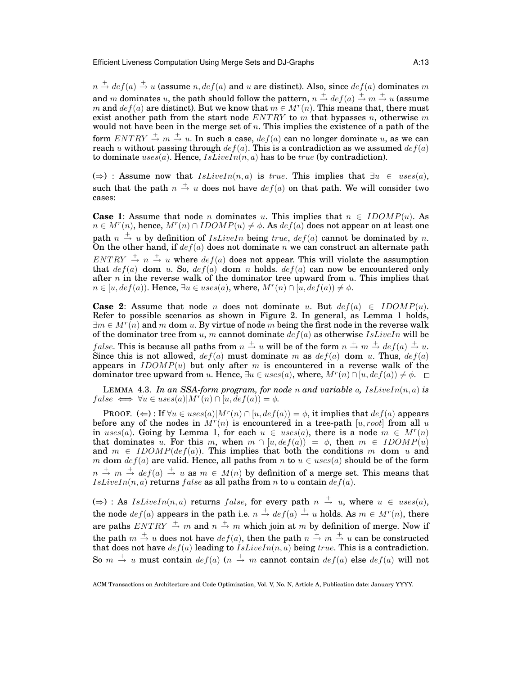$n \stackrel{+}{\rightarrow} def(a) \stackrel{+}{\rightarrow} u$  (assume  $n, def(a)$  and  $u$  are distinct). Also, since  $def(a)$  dominates  $m$ and  $m$  dominates  $u$ , the path should follow the pattern,  $n\stackrel{+}{\rightarrow} def(a)\stackrel{+}{\rightarrow} m\stackrel{+}{\rightarrow} u$  (assume  $m$  and  $def(a)$  are distinct). But we know that  $m\in M^r(n).$  This means that, there must exist another path from the start node  $ENTRY$  to m that bypasses n, otherwise m would not have been in the merge set of  $n$ . This implies the existence of a path of the form  $ENTRY\,\stackrel{+}{\to}\,m\,\stackrel{+}{\to}\,u.$  In such a case,  $def(a)$  can no longer dominate  $u,$  as we can reach u without passing through  $def(a)$ . This is a contradiction as we assumed  $def(a)$ to dominate  $uses(a)$ . Hence,  $IsLiveIn(n, a)$  has to be true (by contradiction).

( $\Rightarrow$ ) : Assume now that IsLiveIn(n, a) is true. This implies that  $\exists u \in uses(a)$ , such that the path  $n \stackrel{+}{\rightarrow} u$  does not have  $def(a)$  on that path. We will consider two cases:

**Case 1**: Assume that node *n* dominates *u*. This implies that  $n \in IDOMP(u)$ . As  $n \in M^{r}(n)$ , hence,  $M^{r}(n) \cap IDOMP(u) \neq \phi$ . As  $def(a)$  does not appear on at least one path  $n \stackrel{+}{\rightarrow} u$  by definition of *IsLiveIn* being true,  $def(a)$  cannot be dominated by n. On the other hand, if  $def(a)$  does not dominate n we can construct an alternate path  $ENTRY \stackrel{+}{\rightarrow} n \stackrel{+}{\rightarrow} u$  where  $def(a)$  does not appear. This will violate the assumption that  $def(a)$  dom u. So,  $def(a)$  dom n holds.  $def(a)$  can now be encountered only after n in the reverse walk of the dominator tree upward from  $u$ . This implies that  $n \in [u, def(a))$ . Hence,  $\exists u \in uses(a)$ , where,  $M^r(n) \cap [u, def(a)) \neq \phi$ .

**Case 2:** Assume that node *n* does not dominate u. But  $def(a) \in IDOMP(u)$ . Refer to possible scenarios as shown in Figure 2. In general, as Lemma 1 holds,  $\exists m\in M^{r}(n)$  and  $m$  dom  $u.$  By virtue of node  $\overline{m}$  being the first node in the reverse walk of the dominator tree from u, m cannot dominate  $def(a)$  as otherwise  $IsLiveIn$  will be *false*. This is because all paths from  $n \stackrel{+}{\rightarrow} u$  will be of the form  $n \stackrel{+}{\rightarrow} m \stackrel{+}{\rightarrow} def(a) \stackrel{+}{\rightarrow} u$ . Since this is not allowed,  $def(a)$  must dominate m as  $def(a)$  dom u. Thus,  $def(a)$ appears in  $IDOMP(u)$  but only after m is encountered in a reverse walk of the dominator tree upward from u. Hence,  $\exists u \in uses(a)$ , where,  $M^r(n) \cap [u, def(a)) \neq \phi$ .

LEMMA 4.3. In an SSA-form program, for node n and variable  $a$ ,  $IsLiveIn(n, a)$  is  $false \iff \forall u \in uses(a)| M^{r}(n) \cap [u, def(a)) = \phi.$ 

**PROOF.**  $(\Leftarrow)$ : If  $\forall u \in uses(a)|M^r(n) \cap [u, def(a)) = \phi$ , it implies that  $def(a)$  appears before any of the nodes in  $M^{r}(n)$  is encountered in a tree-path  $[u, root]$  from all u in uses(a). Going by Lemma 1, for each  $u \in uses(a)$ , there is a node  $m \in M^{r}(n)$ that dominates u. For this m, when  $m \cap [u, def(a)) = \phi$ , then  $m \in IDOMP(u)$ and  $m \in IDOMP(def(a))$ . This implies that both the conditions m dom u and m dom  $def(a)$  are valid. Hence, all paths from n to  $u \in uses(a)$  should be of the form  $n \stackrel{+}{\rightarrow} m \stackrel{+}{\rightarrow} def(a) \stackrel{+}{\rightarrow} u$  as  $m \in M(n)$  by definition of a merge set. This means that IsLiveIn(n, a) returns false as all paths from n to u contain  $def(a)$ .

 $(\Rightarrow)$ : As IsLiveIn(n,a) returns false, for every path  $n \stackrel{+}{\rightarrow} u$ , where  $u \in uses(a)$ , the node  $def(a)$  appears in the path i.e.  $n \stackrel{+}{\rightarrow} def(a) \stackrel{+}{\rightarrow} u$  holds. As  $m \in M^{r}(n)$ , there are paths  $ENTRY \,\stackrel{+}{\to}\, m$  and  $n \,\stackrel{+}{\to}\, m$  which join at  $m$  by definition of merge. Now if the path  $m\stackrel{+}{\rightarrow}u$  does not have  $def(a),$  then the path  $n\stackrel{+}{\rightarrow}m\stackrel{+}{\rightarrow}u$  can be constructed that does not have  $def(a)$  leading to  $\overline{IsLiveIn(n,a)}$  being true. This is a contradiction. So  $m \stackrel{+}{\rightarrow} u$  must contain  $def(a)$   $(n \stackrel{+}{\rightarrow} m$  cannot contain  $def(a)$  else  $def(a)$  will not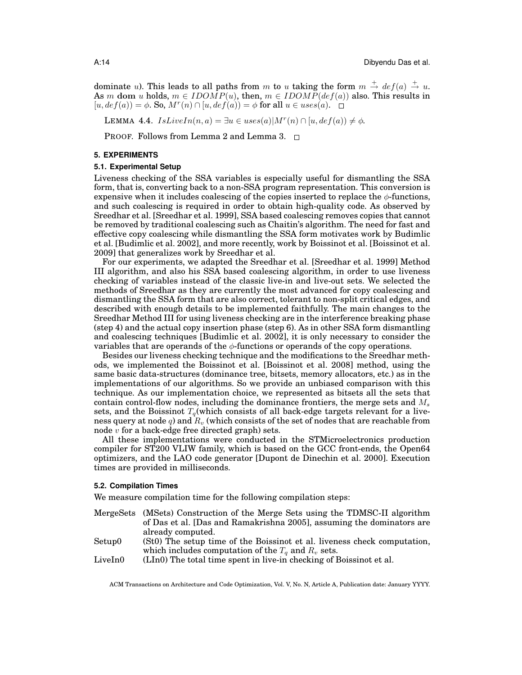dominate u). This leads to all paths from m to u taking the form  $m \stackrel{+}{\rightarrow} def(a) \stackrel{+}{\rightarrow} u$ . As m dom u holds,  $m \in IDOMP(u)$ , then,  $m \in IDOMP(\text{def}(a))$  also. This results in  $[u, def(a)) = \phi$ . So,  $M^r(n) \cap [u, def(a)) = \phi$  for all  $u \in uses(a)$ .

LEMMA 4.4.  $IsLiveIn(n, a) = \exists u \in uses(a)|M^r(n) \cap [u, def(a)) \neq \emptyset$ .

PROOF. Follows from Lemma 2 and Lemma 3.  $\Box$ 

## **5. EXPERIMENTS**

## **5.1. Experimental Setup**

Liveness checking of the SSA variables is especially useful for dismantling the SSA form, that is, converting back to a non-SSA program representation. This conversion is expensive when it includes coalescing of the copies inserted to replace the  $\phi$ -functions, and such coalescing is required in order to obtain high-quality code. As observed by Sreedhar et al. [Sreedhar et al. 1999], SSA based coalescing removes copies that cannot be removed by traditional coalescing such as Chaitin's algorithm. The need for fast and effective copy coalescing while dismantling the SSA form motivates work by Budimlic et al. [Budimlic et al. 2002], and more recently, work by Boissinot et al. [Boissinot et al. 2009] that generalizes work by Sreedhar et al.

For our experiments, we adapted the Sreedhar et al. [Sreedhar et al. 1999] Method III algorithm, and also his SSA based coalescing algorithm, in order to use liveness checking of variables instead of the classic live-in and live-out sets. We selected the methods of Sreedhar as they are currently the most advanced for copy coalescing and dismantling the SSA form that are also correct, tolerant to non-split critical edges, and described with enough details to be implemented faithfully. The main changes to the Sreedhar Method III for using liveness checking are in the interference breaking phase (step 4) and the actual copy insertion phase (step 6). As in other SSA form dismantling and coalescing techniques [Budimlic et al. 2002], it is only necessary to consider the variables that are operands of the  $\phi$ -functions or operands of the copy operations.

Besides our liveness checking technique and the modifications to the Sreedhar methods, we implemented the Boissinot et al. [Boissinot et al. 2008] method, using the same basic data-structures (dominance tree, bitsets, memory allocators, etc.) as in the implementations of our algorithms. So we provide an unbiased comparison with this technique. As our implementation choice, we represented as bitsets all the sets that contain control-flow nodes, including the dominance frontiers, the merge sets and  $M_s$ sets, and the Boissinot  $T_q$ (which consists of all back-edge targets relevant for a liveness query at node q) and  $R_v$  (which consists of the set of nodes that are reachable from node  $v$  for a back-edge free directed graph) sets.

All these implementations were conducted in the STMicroelectronics production compiler for ST200 VLIW family, which is based on the GCC front-ends, the Open64 optimizers, and the LAO code generator [Dupont de Dinechin et al. 2000]. Execution times are provided in milliseconds.

### **5.2. Compilation Times**

We measure compilation time for the following compilation steps:

- MergeSets (MSets) Construction of the Merge Sets using the TDMSC-II algorithm of Das et al. [Das and Ramakrishna 2005], assuming the dominators are already computed.
- Setup0 (St0) The setup time of the Boissinot et al. liveness check computation, which includes computation of the  $T_q$  and  $R_v$  sets.
- LiveIn0 (LIn0) The total time spent in live-in checking of Boissinot et al.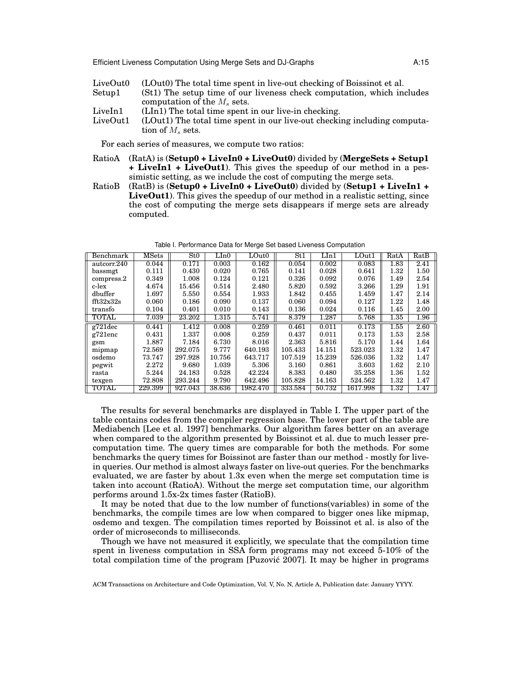- LiveOut0 (LOut0) The total time spent in live-out checking of Boissinot et al. Setup1 (St1) The setup time of our liveness check computation, which includes
- computation of the  $M_s$  sets.
- LiveIn1 (LIn1) The total time spent in our live-in checking.
- LiveOut1 (LOut1) The total time spent in our live-out checking including computation of  $M_s$  sets.

For each series of measures, we compute two ratios:

- RatioA (RatA) is (**Setup0 + LiveIn0 + LiveOut0**) divided by (**MergeSets + Setup1 + LiveIn1 + LiveOut1**). This gives the speedup of our method in a pessimistic setting, as we include the cost of computing the merge sets.
- RatioB (RatB) is (**Setup0 + LiveIn0 + LiveOut0**) divided by (**Setup1 + LiveIn1 + LiveOut1**). This gives the speedup of our method in a realistic setting, since the cost of computing the merge sets disappears if merge sets are already computed.

| Benchmark            | <b>MSets</b> | St <sub>0</sub> | LIn0   | LOut0    | St1     | LIn1   | LOut1    | RatA              | RatB |
|----------------------|--------------|-----------------|--------|----------|---------|--------|----------|-------------------|------|
| autcorr.240          | 0.044        | 0.171           | 0.003  | 0.162    | 0.054   | 0.002  | 0.083    | 1.83              | 2.41 |
| bassmgt              | 0.111        | 0.430           | 0.020  | 0.765    | 0.141   | 0.028  | 0.641    | 1.32              | 1.50 |
| compress.2           | 0.349        | 1.008           | 0.124  | 0.121    | 0.326   | 0.092  | 0.076    | 1.49              | 2.54 |
| c-lex                | 4.674        | 15.456          | 0.514  | 2.480    | 5.820   | 0.592  | 3.266    | 1.29              | 1.91 |
| dbuffer              | 1.697        | 5.550           | 0.554  | 1.933    | 1.842   | 0.455  | 1.459    | 1.47              | 2.14 |
| $\mathrm{fft}32x32s$ | 0.060        | 0.186           | 0.090  | 0.137    | 0.060   | 0.094  | 0.127    | 1.22              | 1.48 |
| transfo              | 0.104        | 0.401           | 0.010  | 0.143    | 0.136   | 0.024  | 0.116    | 1.45              | 2.00 |
| <b>TOTAL</b>         | 7.039        | 23.202          | 1.315  | 5.741    | 8.379   | 1.287  | 5.768    | 1.35              | 1.96 |
| $g721$ dec           | 0.441        | 1.412           | 0.008  | 0.259    | 0.461   | 0.011  | 0.173    | 1.55              | 2.60 |
| $g721$ enc           | 0.431        | 1.337           | 0.008  | 0.259    | 0.437   | 0.011  | 0.173    | 1.53              | 2.58 |
| gsm                  | 1.887        | 7.184           | 6.730  | 8.016    | 2.363   | 5.816  | 5.170    | 1.44              | 1.64 |
| mipmap               | 72.569       | 292.075         | 9.777  | 640.193  | 105.433 | 14.151 | 523.023  | 1.32              | 1.47 |
| osdemo               | 73.747       | 297.928         | 10.756 | 643.717  | 107.519 | 15.239 | 526.036  | 1.32              | 1.47 |
| pegwit               | 2.272        | 9.680           | 1.039  | 5.306    | 3.160   | 0.861  | 3.603    | 1.62              | 2.10 |
| rasta                | 5.244        | 24.183          | 0.528  | 42.224   | 8.383   | 0.480  | 35.258   | 1.36              | 1.52 |
| texgen               | 72.808       | 293.244         | 9.790  | 642.496  | 105.828 | 14.163 | 524.562  | 1.32              | 1.47 |
| <b>TOTAL</b>         | 229.399      | 927.043         | 38.636 | 1982.470 | 333.584 | 50.732 | 1617.998 | $\overline{1.32}$ | 1.47 |

Table I. Performance Data for Merge Set based Liveness Computation

The results for several benchmarks are displayed in Table I. The upper part of the table contains codes from the compiler regression base. The lower part of the table are Mediabench [Lee et al. 1997] benchmarks. Our algorithm fares better on an average when compared to the algorithm presented by Boissinot et al. due to much lesser precomputation time. The query times are comparable for both the methods. For some benchmarks the query times for Boissinot are faster than our method - mostly for livein queries. Our method is almost always faster on live-out queries. For the benchmarks evaluated, we are faster by about 1.3x even when the merge set computation time is taken into account (RatioA). Without the merge set computation time, our algorithm performs around 1.5x-2x times faster (RatioB).

It may be noted that due to the low number of functions(variables) in some of the benchmarks, the compile times are low when compared to bigger ones like mipmap, osdemo and texgen. The compilation times reported by Boissinot et al. is also of the order of microseconds to milliseconds.

Though we have not measured it explicitly, we speculate that the compilation time spent in liveness computation in SSA form programs may not exceed 5-10% of the total compilation time of the program [Puzović  $2007$ ]. It may be higher in programs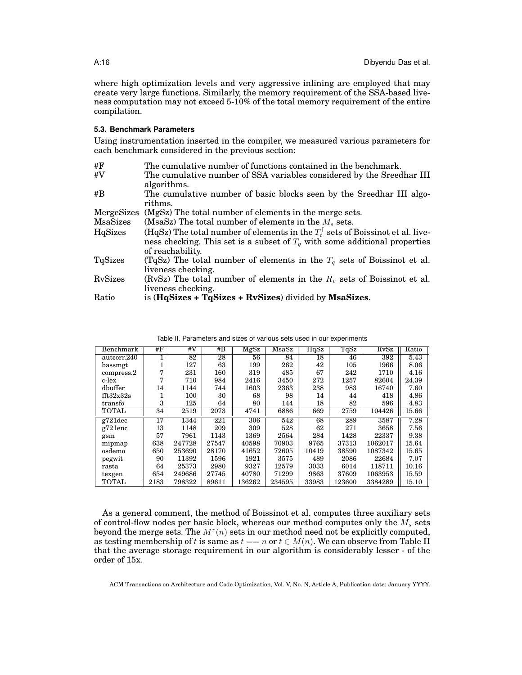where high optimization levels and very aggressive inlining are employed that may create very large functions. Similarly, the memory requirement of the SSA-based liveness computation may not exceed 5-10% of the total memory requirement of the entire compilation.

## **5.3. Benchmark Parameters**

Using instrumentation inserted in the compiler, we measured various parameters for each benchmark considered in the previous section:

- #F The cumulative number of functions contained in the benchmark.
- #V The cumulative number of SSA variables considered by the Sreedhar III algorithms.
- #B The cumulative number of basic blocks seen by the Sreedhar III algorithms.

MergeSizes (MgSz) The total number of elements in the merge sets.

MsaSizes (MsaSz) The total number of elements in the  $M_s$  sets.

- HqSizes  $\qquad$  (HqSz) The total number of elements in the  $T_{t}^{\uparrow}$  sets of Boissinot et al. liveness checking. This set is a subset of  $T_q$  with some additional properties of reachability.
- TqSizes (TqSz) The total number of elements in the  $T_q$  sets of Boissinot et al. liveness checking.
- RvSizes (RvSz) The total number of elements in the  $R_v$  sets of Boissinot et al. liveness checking.

| Ratio | is $(HqSizes + TqSizes + RvSizes)$ divided by MsaSizes. |  |  |  |  |
|-------|---------------------------------------------------------|--|--|--|--|
|-------|---------------------------------------------------------|--|--|--|--|

| <b>Benchmark</b>     | #F   | #V     | #B               | MgSz   | MsaSz  | HqSz  | TqSz   | <b>RvSz</b> | Ratio |
|----------------------|------|--------|------------------|--------|--------|-------|--------|-------------|-------|
| autcorr.240          |      | 82     | $\overline{28}$  | 56     | 84     | 18    | 46     | 392         | 5.43  |
| bassmgt              |      | 127    | 63               | 199    | 262    | 42    | 105    | 1966        | 8.06  |
| compress.2           |      | 231    | 160              | 319    | 485    | 67    | 242    | 1710        | 4.16  |
| c-lex                |      | 710    | 984              | 2416   | 3450   | 272   | 1257   | 82604       | 24.39 |
| dbuffer              | 14   | 1144   | 744              | 1603   | 2363   | 238   | 983    | 16740       | 7.60  |
| $\mathrm{fft}32x32s$ |      | 100    | 30               | 68     | 98     | 14    | 44     | 418         | 4.86  |
| transfo              | 3    | 125    | 64               | 80     | 144    | 18    | 82     | 596         | 4.83  |
| TOTAL                | 34   | 2519   | 2073             | 4741   | 6886   | 669   | 2759   | 104426      | 15.66 |
| $g721$ dec           | 17   | 1344   | $\overline{221}$ | 306    | 542    | 68    | 289    | 3587        | 7.28  |
| $g721$ enc           | 13   | 1148   | 209              | 309    | 528    | 62    | 271    | 3658        | 7.56  |
| gsm                  | 57   | 7961   | 1143             | 1369   | 2564   | 284   | 1428   | 22337       | 9.38  |
| mipmap               | 638  | 247728 | 27547            | 40598  | 70903  | 9765  | 37313  | 1062017     | 15.64 |
| osdemo               | 650  | 253690 | 28170            | 41652  | 72605  | 10419 | 38590  | 1087342     | 15.65 |
| pegwit               | 90   | 11392  | 1596             | 1921   | 3575   | 489   | 2086   | 22684       | 7.07  |
| rasta                | 64   | 25373  | 2980             | 9327   | 12579  | 3033  | 6014   | 118711      | 10.16 |
| texgen               | 654  | 249686 | 27745            | 40780  | 71299  | 9863  | 37609  | 1063953     | 15.59 |
| <b>TOTAL</b>         | 2183 | 798322 | 89611            | 136262 | 234595 | 33983 | 123600 | 3384289     | 15.10 |

Table II. Parameters and sizes of various sets used in our experiments

As a general comment, the method of Boissinot et al. computes three auxiliary sets of control-flow nodes per basic block, whereas our method computes only the  $M_s$  sets beyond the merge sets. The  $M^r(n)$  sets in our method need not be explicitly computed, as testing membership of t is same as  $t == n$  or  $t \in M(n)$ . We can observe from Table II that the average storage requirement in our algorithm is considerably lesser - of the order of 15x.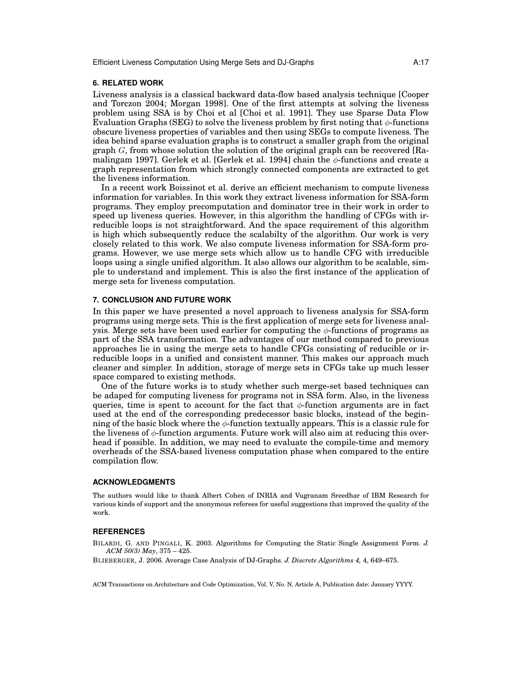## **6. RELATED WORK**

Liveness analysis is a classical backward data-flow based analysis technique [Cooper and Torczon 2004; Morgan 1998]. One of the first attempts at solving the liveness problem using SSA is by Choi et al [Choi et al. 1991]. They use Sparse Data Flow Evaluation Graphs (SEG) to solve the liveness problem by first noting that  $\phi$ -functions obscure liveness properties of variables and then using SEGs to compute liveness. The idea behind sparse evaluation graphs is to construct a smaller graph from the original  $graph G$ , from whose solution the solution of the original graph can be recovered [Ramalingam 1997]. Gerlek et al. [Gerlek et al. 1994] chain the  $\phi$ -functions and create a graph representation from which strongly connected components are extracted to get the liveness information.

In a recent work Boissinot et al. derive an efficient mechanism to compute liveness information for variables. In this work they extract liveness information for SSA-form programs. They employ precomputation and dominator tree in their work in order to speed up liveness queries. However, in this algorithm the handling of CFGs with irreducible loops is not straightforward. And the space requirement of this algorithm is high which subsequently reduce the scalabilty of the algorithm. Our work is very closely related to this work. We also compute liveness information for SSA-form programs. However, we use merge sets which allow us to handle CFG with irreducible loops using a single unified algorithm. It also allows our algorithm to be scalable, simple to understand and implement. This is also the first instance of the application of merge sets for liveness computation.

## **7. CONCLUSION AND FUTURE WORK**

In this paper we have presented a novel approach to liveness analysis for SSA-form programs using merge sets. This is the first application of merge sets for liveness analysis. Merge sets have been used earlier for computing the  $\phi$ -functions of programs as part of the SSA transformation. The advantages of our method compared to previous approaches lie in using the merge sets to handle CFGs consisting of reducible or irreducible loops in a unified and consistent manner. This makes our approach much cleaner and simpler. In addition, storage of merge sets in CFGs take up much lesser space compared to existing methods.

One of the future works is to study whether such merge-set based techniques can be adaped for computing liveness for programs not in SSA form. Also, in the liveness queries, time is spent to account for the fact that  $\phi$ -function arguments are in fact used at the end of the corresponding predecessor basic blocks, instead of the beginning of the basic block where the  $\phi$ -function textually appears. This is a classic rule for the liveness of  $\phi$ -function arguments. Future work will also aim at reducing this overhead if possible. In addition, we may need to evaluate the compile-time and memory overheads of the SSA-based liveness computation phase when compared to the entire compilation flow.

## **ACKNOWLEDGMENTS**

The authors would like to thank Albert Cohen of INRIA and Vugranam Sreedhar of IBM Research for various kinds of support and the anonymous referees for useful suggestions that improved the quality of the work.

## **REFERENCES**

BILARDI, G. AND PINGALI, K. 2003. Algorithms for Computing the Static Single Assignment Form. *J. ACM 50(3) May*, 375 – 425.

BLIEBERGER, J. 2006. Average Case Analysis of DJ-Graphs. *J. Discrete Algorithms 4,* 4, 649–675.